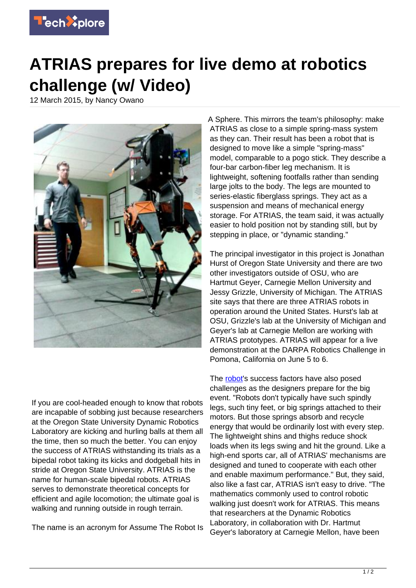

## **ATRIAS prepares for live demo at robotics challenge (w/ Video)**

12 March 2015, by Nancy Owano



If you are cool-headed enough to know that robots are incapable of sobbing just because researchers at the Oregon State University Dynamic Robotics Laboratory are kicking and hurling balls at them all the time, then so much the better. You can enjoy the success of ATRIAS withstanding its trials as a bipedal robot taking its kicks and dodgeball hits in stride at Oregon State University. ATRIAS is the name for human-scale bipedal robots. ATRIAS serves to demonstrate theoretical concepts for efficient and agile locomotion; the ultimate goal is walking and running outside in rough terrain.

The name is an acronym for Assume The Robot Is

A Sphere. This mirrors the team's philosophy: make ATRIAS as close to a simple spring-mass system as they can. Their result has been a robot that is designed to move like a simple "spring-mass" model, comparable to a pogo stick. They describe a four-bar carbon-fiber leg mechanism. It is lightweight, softening footfalls rather than sending large jolts to the body. The legs are mounted to series-elastic fiberglass springs. They act as a suspension and means of mechanical energy storage. For ATRIAS, the team said, it was actually easier to hold position not by standing still, but by stepping in place, or "dynamic standing."

The principal investigator in this project is Jonathan Hurst of Oregon State University and there are two other investigators outside of OSU, who are Hartmut Geyer, Carnegie Mellon University and Jessy Grizzle, University of Michigan. The ATRIAS site says that there are three ATRIAS robots in operation around the United States. Hurst's lab at OSU, Grizzle's lab at the University of Michigan and Geyer's lab at Carnegie Mellon are working with ATRIAS prototypes. ATRIAS will appear for a live demonstration at the DARPA Robotics Challenge in Pomona, California on June 5 to 6.

The [robot](https://techxplore.com/tags/robot/)'s success factors have also posed challenges as the designers prepare for the big event. "Robots don't typically have such spindly legs, such tiny feet, or big springs attached to their motors. But those springs absorb and recycle energy that would be ordinarily lost with every step. The lightweight shins and thighs reduce shock loads when its legs swing and hit the ground. Like a high-end sports car, all of ATRIAS' mechanisms are designed and tuned to cooperate with each other and enable maximum performance." But, they said, also like a fast car, ATRIAS isn't easy to drive. "The mathematics commonly used to control robotic walking just doesn't work for ATRIAS. This means that researchers at the Dynamic Robotics Laboratory, in collaboration with Dr. Hartmut Geyer's laboratory at Carnegie Mellon, have been